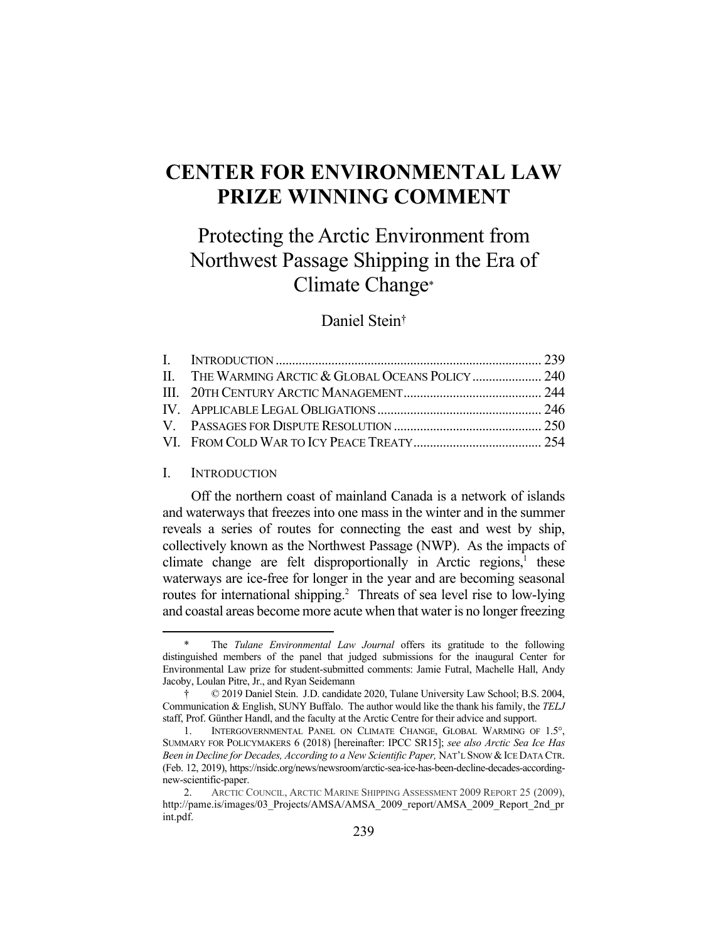# **CENTER FOR ENVIRONMENTAL LAW PRIZE WINNING COMMENT**

# Protecting the Arctic Environment from Northwest Passage Shipping in the Era of Climate Change\*

## Daniel Stein†

### I. INTRODUCTION

<u>.</u>

 Off the northern coast of mainland Canada is a network of islands and waterways that freezes into one mass in the winter and in the summer reveals a series of routes for connecting the east and west by ship, collectively known as the Northwest Passage (NWP). As the impacts of climate change are felt disproportionally in Arctic regions,<sup>1</sup> these waterways are ice-free for longer in the year and are becoming seasonal routes for international shipping.<sup>2</sup> Threats of sea level rise to low-lying and coastal areas become more acute when that water is no longer freezing

The *Tulane Environmental Law Journal* offers its gratitude to the following distinguished members of the panel that judged submissions for the inaugural Center for Environmental Law prize for student-submitted comments: Jamie Futral, Machelle Hall, Andy Jacoby, Loulan Pitre, Jr., and Ryan Seidemann

 <sup>† © 2019</sup> Daniel Stein. J.D. candidate 2020, Tulane University Law School; B.S. 2004, Communication & English, SUNY Buffalo. The author would like the thank his family, the *TELJ* staff, Prof. Günther Handl, and the faculty at the Arctic Centre for their advice and support.

<sup>1.</sup> INTERGOVERNMENTAL PANEL ON CLIMATE CHANGE, GLOBAL WARMING OF 1.5°, SUMMARY FOR POLICYMAKERS 6 (2018) [hereinafter: IPCC SR15]; *see also Arctic Sea Ice Has Been in Decline for Decades, According to a New Scientific Paper, NAT'L SNOW & ICE DATA CTR.* (Feb. 12, 2019), https://nsidc.org/news/newsroom/arctic-sea-ice-has-been-decline-decades-accordingnew-scientific-paper.

 <sup>2.</sup> ARCTIC COUNCIL, ARCTIC MARINE SHIPPING ASSESSMENT 2009 REPORT 25 (2009), http://pame.is/images/03\_Projects/AMSA/AMSA\_2009\_report/AMSA\_2009\_Report\_2nd\_pr int.pdf.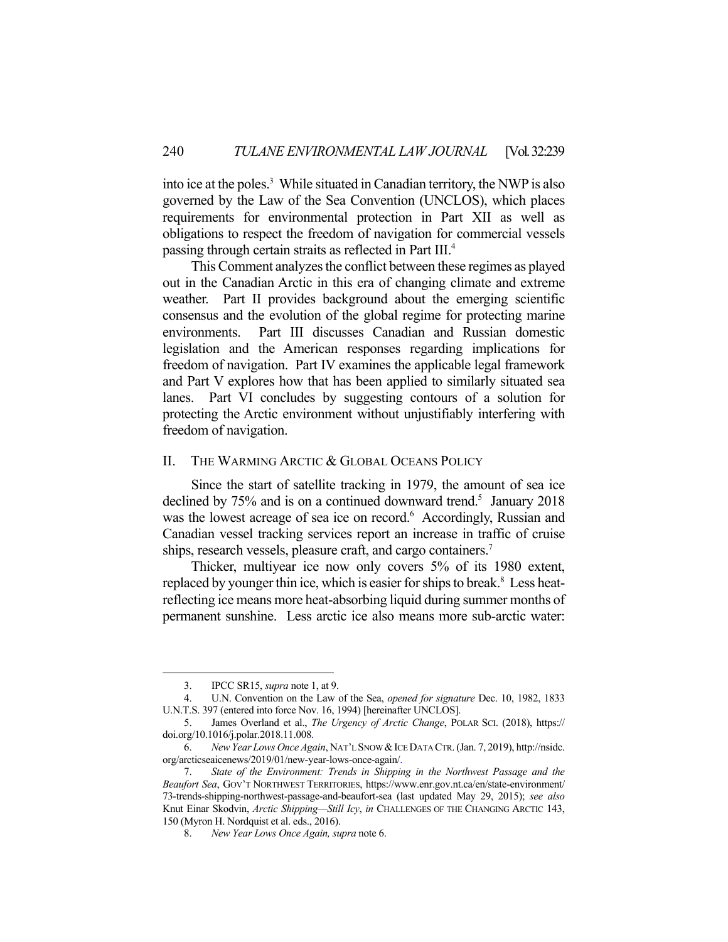into ice at the poles.<sup>3</sup> While situated in Canadian territory, the NWP is also governed by the Law of the Sea Convention (UNCLOS), which places requirements for environmental protection in Part XII as well as obligations to respect the freedom of navigation for commercial vessels passing through certain straits as reflected in Part III.4

 This Comment analyzes the conflict between these regimes as played out in the Canadian Arctic in this era of changing climate and extreme weather. Part II provides background about the emerging scientific consensus and the evolution of the global regime for protecting marine environments. Part III discusses Canadian and Russian domestic legislation and the American responses regarding implications for freedom of navigation. Part IV examines the applicable legal framework and Part V explores how that has been applied to similarly situated sea lanes. Part VI concludes by suggesting contours of a solution for protecting the Arctic environment without unjustifiably interfering with freedom of navigation.

## II. THE WARMING ARCTIC & GLOBAL OCEANS POLICY

 Since the start of satellite tracking in 1979, the amount of sea ice declined by 75% and is on a continued downward trend.<sup>5</sup> January 2018 was the lowest acreage of sea ice on record.<sup>6</sup> Accordingly, Russian and Canadian vessel tracking services report an increase in traffic of cruise ships, research vessels, pleasure craft, and cargo containers.<sup>7</sup>

 Thicker, multiyear ice now only covers 5% of its 1980 extent, replaced by younger thin ice, which is easier for ships to break.<sup>8</sup> Less heatreflecting ice means more heat-absorbing liquid during summer months of permanent sunshine. Less arctic ice also means more sub-arctic water:

 <sup>3.</sup> IPCC SR15, *supra* note 1, at 9.

 <sup>4.</sup> U.N. Convention on the Law of the Sea, *opened for signature* Dec. 10, 1982, 1833 U.N.T.S. 397 (entered into force Nov. 16, 1994) [hereinafter UNCLOS].

 <sup>5.</sup> James Overland et al., *The Urgency of Arctic Change*, POLAR SCI. (2018), https:// doi.org/10.1016/j.polar.2018.11.008.

 <sup>6.</sup> *New Year Lows Once Again*, NAT'L SNOW &ICE DATA CTR. (Jan. 7, 2019), http://nsidc. org/arcticseaicenews/2019/01/new-year-lows-once-again/.

 <sup>7.</sup> *State of the Environment: Trends in Shipping in the Northwest Passage and the Beaufort Sea*, GOV'T NORTHWEST TERRITORIES, https://www.enr.gov.nt.ca/en/state-environment/ 73-trends-shipping-northwest-passage-and-beaufort-sea (last updated May 29, 2015); *see also* Knut Einar Skodvin, *Arctic Shipping—Still Icy*, *in* CHALLENGES OF THE CHANGING ARCTIC 143, 150 (Myron H. Nordquist et al. eds., 2016).

 <sup>8.</sup> *New Year Lows Once Again, supra* note 6.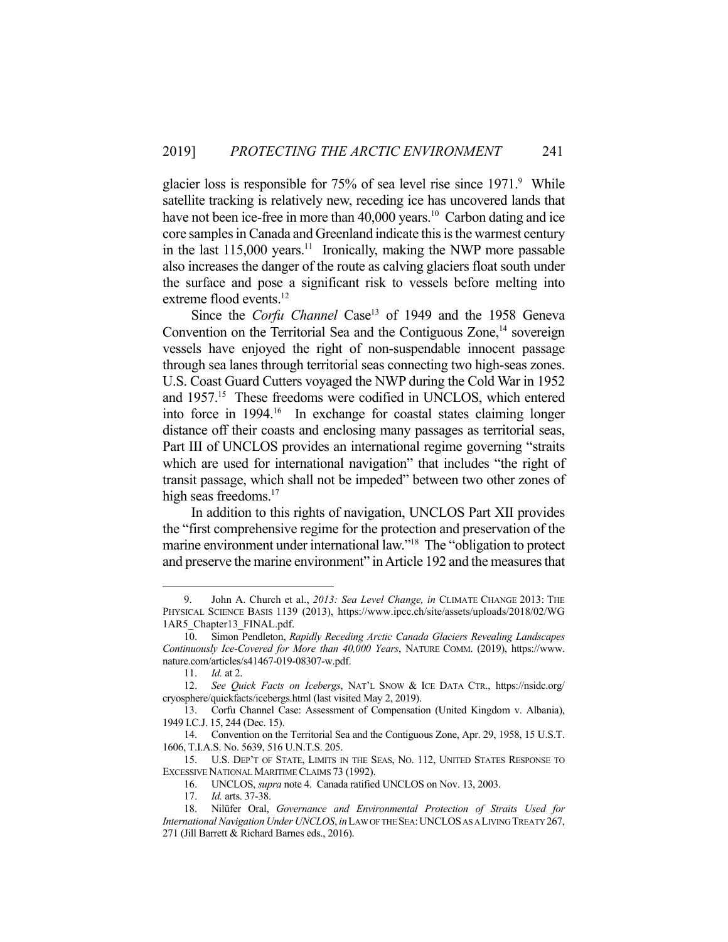glacier loss is responsible for 75% of sea level rise since 1971.<sup>9</sup> While satellite tracking is relatively new, receding ice has uncovered lands that have not been ice-free in more than  $40,000$  years.<sup>10</sup> Carbon dating and ice core samples in Canada and Greenland indicate this is the warmest century in the last  $115,000$  years.<sup>11</sup> Ironically, making the NWP more passable also increases the danger of the route as calving glaciers float south under the surface and pose a significant risk to vessels before melting into extreme flood events.<sup>12</sup>

Since the *Corfu Channel* Case<sup>13</sup> of 1949 and the 1958 Geneva Convention on the Territorial Sea and the Contiguous Zone,<sup>14</sup> sovereign vessels have enjoyed the right of non-suspendable innocent passage through sea lanes through territorial seas connecting two high-seas zones. U.S. Coast Guard Cutters voyaged the NWP during the Cold War in 1952 and 1957.<sup>15</sup> These freedoms were codified in UNCLOS, which entered into force in 1994.<sup>16</sup> In exchange for coastal states claiming longer distance off their coasts and enclosing many passages as territorial seas, Part III of UNCLOS provides an international regime governing "straits which are used for international navigation" that includes "the right of transit passage, which shall not be impeded" between two other zones of high seas freedoms.<sup>17</sup>

 In addition to this rights of navigation, UNCLOS Part XII provides the "first comprehensive regime for the protection and preservation of the marine environment under international law."18 The "obligation to protect and preserve the marine environment" in Article 192 and the measures that

 <sup>9.</sup> John A. Church et al., *2013: Sea Level Change, in* CLIMATE CHANGE 2013: THE PHYSICAL SCIENCE BASIS 1139 (2013), https://www.ipcc.ch/site/assets/uploads/2018/02/WG 1AR5 Chapter13 FINAL.pdf.

 <sup>10.</sup> Simon Pendleton, *Rapidly Receding Arctic Canada Glaciers Revealing Landscapes Continuously Ice-Covered for More than 40,000 Years*, NATURE COMM. (2019), https://www. nature.com/articles/s41467-019-08307-w.pdf.

 <sup>11.</sup> *Id.* at 2.

 <sup>12.</sup> *See Quick Facts on Icebergs*, NAT'L SNOW & ICE DATA CTR., https://nsidc.org/ cryosphere/quickfacts/icebergs.html (last visited May 2, 2019).

 <sup>13.</sup> Corfu Channel Case: Assessment of Compensation (United Kingdom v. Albania), 1949 I.C.J. 15, 244 (Dec. 15).

 <sup>14.</sup> Convention on the Territorial Sea and the Contiguous Zone, Apr. 29, 1958, 15 U.S.T. 1606, T.I.A.S. No. 5639, 516 U.N.T.S. 205.

 <sup>15.</sup> U.S. DEP'T OF STATE, LIMITS IN THE SEAS, NO. 112, UNITED STATES RESPONSE TO EXCESSIVE NATIONAL MARITIME CLAIMS 73 (1992).

 <sup>16.</sup> UNCLOS, *supra* note 4. Canada ratified UNCLOS on Nov. 13, 2003.

 <sup>17.</sup> *Id.* arts. 37-38.

 <sup>18.</sup> Nilüfer Oral, *Governance and Environmental Protection of Straits Used for International Navigation Under UNCLOS*, *in*LAW OF THE SEA:UNCLOS AS A LIVING TREATY 267, 271 (Jill Barrett & Richard Barnes eds., 2016).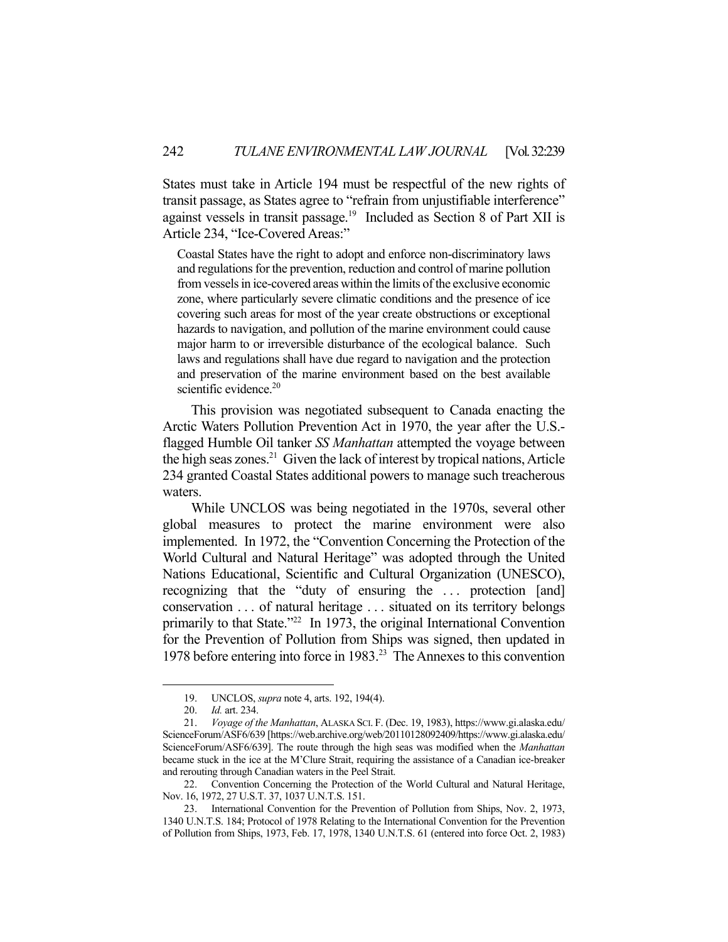States must take in Article 194 must be respectful of the new rights of transit passage, as States agree to "refrain from unjustifiable interference" against vessels in transit passage.<sup>19</sup> Included as Section 8 of Part XII is Article 234, "Ice-Covered Areas:"

Coastal States have the right to adopt and enforce non-discriminatory laws and regulations for the prevention, reduction and control of marine pollution from vessels in ice-covered areas within the limits of the exclusive economic zone, where particularly severe climatic conditions and the presence of ice covering such areas for most of the year create obstructions or exceptional hazards to navigation, and pollution of the marine environment could cause major harm to or irreversible disturbance of the ecological balance. Such laws and regulations shall have due regard to navigation and the protection and preservation of the marine environment based on the best available scientific evidence. $20$ 

 This provision was negotiated subsequent to Canada enacting the Arctic Waters Pollution Prevention Act in 1970, the year after the U.S. flagged Humble Oil tanker *SS Manhattan* attempted the voyage between the high seas zones.<sup>21</sup> Given the lack of interest by tropical nations, Article 234 granted Coastal States additional powers to manage such treacherous waters.

 While UNCLOS was being negotiated in the 1970s, several other global measures to protect the marine environment were also implemented. In 1972, the "Convention Concerning the Protection of the World Cultural and Natural Heritage" was adopted through the United Nations Educational, Scientific and Cultural Organization (UNESCO), recognizing that the "duty of ensuring the ... protection [and] conservation . . . of natural heritage . . . situated on its territory belongs primarily to that State."22 In 1973, the original International Convention for the Prevention of Pollution from Ships was signed, then updated in 1978 before entering into force in 1983.23 The Annexes to this convention

 <sup>19.</sup> UNCLOS, *supra* note 4, arts. 192, 194(4).

 <sup>20.</sup> *Id.* art. 234.

 <sup>21.</sup> *Voyage of the Manhattan*, ALASKA SCI. F. (Dec. 19, 1983), https://www.gi.alaska.edu/ ScienceForum/ASF6/639 [https://web.archive.org/web/20110128092409/https://www.gi.alaska.edu/ ScienceForum/ASF6/639]. The route through the high seas was modified when the *Manhattan* became stuck in the ice at the M'Clure Strait, requiring the assistance of a Canadian ice-breaker and rerouting through Canadian waters in the Peel Strait.

 <sup>22.</sup> Convention Concerning the Protection of the World Cultural and Natural Heritage, Nov. 16, 1972, 27 U.S.T. 37, 1037 U.N.T.S. 151.

 <sup>23.</sup> International Convention for the Prevention of Pollution from Ships, Nov. 2, 1973, 1340 U.N.T.S. 184; Protocol of 1978 Relating to the International Convention for the Prevention of Pollution from Ships, 1973, Feb. 17, 1978, 1340 U.N.T.S. 61 (entered into force Oct. 2, 1983)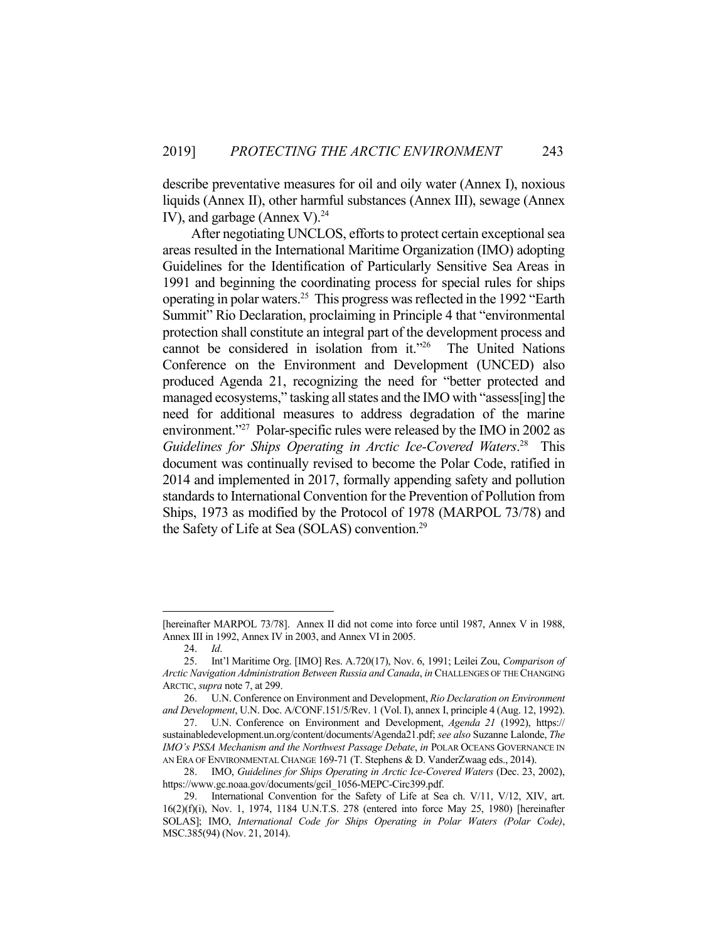describe preventative measures for oil and oily water (Annex I), noxious liquids (Annex II), other harmful substances (Annex III), sewage (Annex IV), and garbage (Annex V). $^{24}$ 

 After negotiating UNCLOS, efforts to protect certain exceptional sea areas resulted in the International Maritime Organization (IMO) adopting Guidelines for the Identification of Particularly Sensitive Sea Areas in 1991 and beginning the coordinating process for special rules for ships operating in polar waters.25 This progress was reflected in the 1992 "Earth Summit" Rio Declaration, proclaiming in Principle 4 that "environmental protection shall constitute an integral part of the development process and cannot be considered in isolation from it."26 The United Nations Conference on the Environment and Development (UNCED) also produced Agenda 21, recognizing the need for "better protected and managed ecosystems," tasking all states and the IMO with "assess[ing] the need for additional measures to address degradation of the marine environment."27 Polar-specific rules were released by the IMO in 2002 as *Guidelines for Ships Operating in Arctic Ice-Covered Waters*. 28 This document was continually revised to become the Polar Code, ratified in 2014 and implemented in 2017, formally appending safety and pollution standards to International Convention for the Prevention of Pollution from Ships, 1973 as modified by the Protocol of 1978 (MARPOL 73/78) and the Safety of Life at Sea (SOLAS) convention.29

<sup>[</sup>hereinafter MARPOL 73/78]. Annex II did not come into force until 1987, Annex V in 1988, Annex III in 1992, Annex IV in 2003, and Annex VI in 2005.

 <sup>24.</sup> *Id*.

 <sup>25.</sup> Int'l Maritime Org. [IMO] Res. A.720(17), Nov. 6, 1991; Leilei Zou, *Comparison of Arctic Navigation Administration Between Russia and Canada*, *in* CHALLENGES OF THE CHANGING ARCTIC, *supra* note 7, at 299.

 <sup>26.</sup> U.N. Conference on Environment and Development, *Rio Declaration on Environment and Development*, U.N. Doc. A/CONF.151/5/Rev. 1 (Vol. I), annex I, principle 4 (Aug. 12, 1992).

 <sup>27.</sup> U.N. Conference on Environment and Development, *Agenda 21* (1992), https:// sustainabledevelopment.un.org/content/documents/Agenda21.pdf; *see also* Suzanne Lalonde, *The IMO's PSSA Mechanism and the Northwest Passage Debate*, *in* POLAR OCEANS GOVERNANCE IN AN ERA OF ENVIRONMENTAL CHANGE 169-71 (T. Stephens & D. VanderZwaag eds., 2014).

 <sup>28.</sup> IMO, *Guidelines for Ships Operating in Arctic Ice-Covered Waters* (Dec. 23, 2002), https://www.gc.noaa.gov/documents/gcil\_1056-MEPC-Circ399.pdf.

 <sup>29.</sup> International Convention for the Safety of Life at Sea ch. V/11, V/12, XIV, art. 16(2)(f)(i), Nov. 1, 1974, 1184 U.N.T.S. 278 (entered into force May 25, 1980) [hereinafter SOLAS]; IMO, *International Code for Ships Operating in Polar Waters (Polar Code)*, MSC.385(94) (Nov. 21, 2014).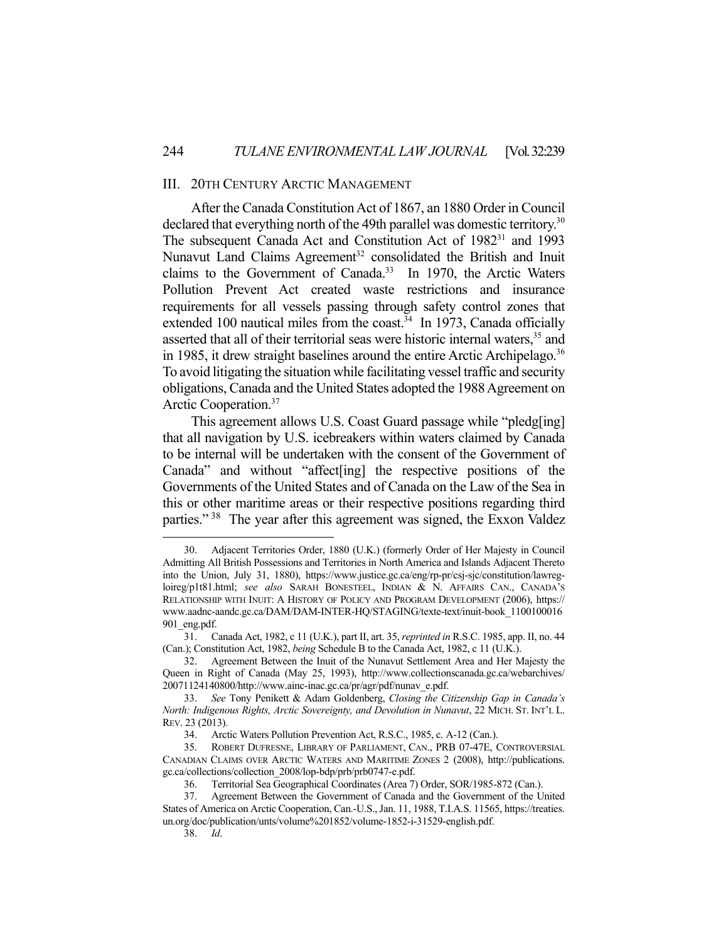#### III. 20TH CENTURY ARCTIC MANAGEMENT

 After the Canada Constitution Act of 1867, an 1880 Order in Council declared that everything north of the 49th parallel was domestic territory.<sup>30</sup> The subsequent Canada Act and Constitution Act of 1982<sup>31</sup> and 1993 Nunavut Land Claims Agreement<sup>32</sup> consolidated the British and Inuit claims to the Government of Canada.<sup>33</sup> In 1970, the Arctic Waters Pollution Prevent Act created waste restrictions and insurance requirements for all vessels passing through safety control zones that extended 100 nautical miles from the coast.<sup>34</sup> In 1973, Canada officially asserted that all of their territorial seas were historic internal waters,<sup>35</sup> and in 1985, it drew straight baselines around the entire Arctic Archipelago.<sup>36</sup> To avoid litigating the situation while facilitating vessel traffic and security obligations, Canada and the United States adopted the 1988 Agreement on Arctic Cooperation.37

 This agreement allows U.S. Coast Guard passage while "pledg[ing] that all navigation by U.S. icebreakers within waters claimed by Canada to be internal will be undertaken with the consent of the Government of Canada" and without "affect[ing] the respective positions of the Governments of the United States and of Canada on the Law of the Sea in this or other maritime areas or their respective positions regarding third parties."<sup>38</sup> The year after this agreement was signed, the Exxon Valdez

 <sup>30.</sup> Adjacent Territories Order, 1880 (U.K.) (formerly Order of Her Majesty in Council Admitting All British Possessions and Territories in North America and Islands Adjacent Thereto into the Union, July 31, 1880), https://www.justice.gc.ca/eng/rp-pr/csj-sjc/constitution/lawregloireg/p1t81.html; *see also* SARAH BONESTEEL, INDIAN & N. AFFAIRS CAN., CANADA'S RELATIONSHIP WITH INUIT: A HISTORY OF POLICY AND PROGRAM DEVELOPMENT (2006), https:// www.aadnc-aandc.gc.ca/DAM/DAM-INTER-HQ/STAGING/texte-text/inuit-book\_1100100016 901\_eng.pdf.

 <sup>31.</sup> Canada Act, 1982, c 11 (U.K.), part II, art. 35, *reprinted in* R.S.C. 1985, app. II, no. 44 (Can.); Constitution Act, 1982, *being* Schedule B to the Canada Act, 1982, c 11 (U.K.).

 <sup>32.</sup> Agreement Between the Inuit of the Nunavut Settlement Area and Her Majesty the Queen in Right of Canada (May 25, 1993), http://www.collectionscanada.gc.ca/webarchives/ 20071124140800/http://www.ainc-inac.gc.ca/pr/agr/pdf/nunav\_e.pdf.

 <sup>33.</sup> *See* Tony Penikett & Adam Goldenberg, *Closing the Citizenship Gap in Canada's North: Indigenous Rights, Arctic Sovereignty, and Devolution in Nunavut*, 22 MICH. ST. INT'L L. REV. 23 (2013).

 <sup>34.</sup> Arctic Waters Pollution Prevention Act, R.S.C., 1985, c. A-12 (Can.).

 <sup>35.</sup> ROBERT DUFRESNE, LIBRARY OF PARLIAMENT, CAN., PRB 07-47E, CONTROVERSIAL CANADIAN CLAIMS OVER ARCTIC WATERS AND MARITIME ZONES 2 (2008), http://publications. gc.ca/collections/collection\_2008/lop-bdp/prb/prb0747-e.pdf.

 <sup>36.</sup> Territorial Sea Geographical Coordinates (Area 7) Order, SOR/1985-872 (Can.).

 <sup>37.</sup> Agreement Between the Government of Canada and the Government of the United States of America on Arctic Cooperation, Can.-U.S., Jan. 11, 1988, T.I.A.S. 11565, https://treaties. un.org/doc/publication/unts/volume%201852/volume-1852-i-31529-english.pdf.

 <sup>38.</sup> *Id*.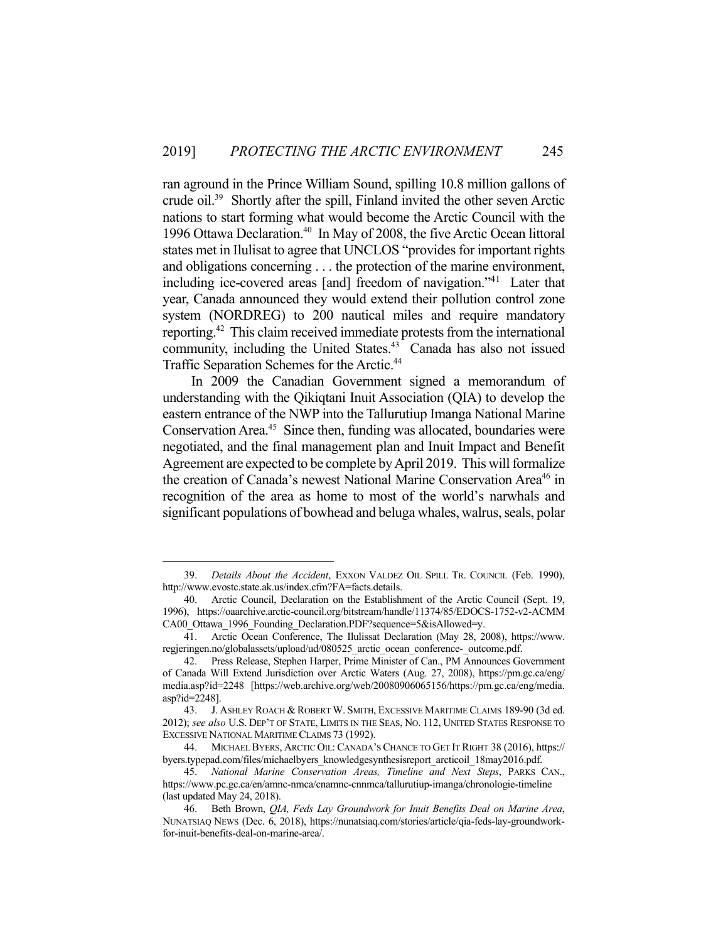ran aground in the Prince William Sound, spilling 10.8 million gallons of crude oil.39 Shortly after the spill, Finland invited the other seven Arctic nations to start forming what would become the Arctic Council with the 1996 Ottawa Declaration.40 In May of 2008, the five Arctic Ocean littoral states met in Ilulisat to agree that UNCLOS "provides for important rights and obligations concerning . . . the protection of the marine environment, including ice-covered areas [and] freedom of navigation."<sup>41</sup> Later that year, Canada announced they would extend their pollution control zone system (NORDREG) to 200 nautical miles and require mandatory reporting.42 This claim received immediate protests from the international community, including the United States.<sup>43</sup> Canada has also not issued Traffic Separation Schemes for the Arctic.44

 In 2009 the Canadian Government signed a memorandum of understanding with the Qikiqtani Inuit Association (QIA) to develop the eastern entrance of the NWP into the Tallurutiup Imanga National Marine Conservation Area.<sup>45</sup> Since then, funding was allocated, boundaries were negotiated, and the final management plan and Inuit Impact and Benefit Agreement are expected to be complete by April 2019. This will formalize the creation of Canada's newest National Marine Conservation Area<sup>46</sup> in recognition of the area as home to most of the world's narwhals and significant populations of bowhead and beluga whales, walrus, seals, polar

 <sup>39.</sup> *Details About the Accident*, EXXON VALDEZ OIL SPILL TR. COUNCIL (Feb. 1990), http://www.evostc.state.ak.us/index.cfm?FA=facts.details.

 <sup>40.</sup> Arctic Council, Declaration on the Establishment of the Arctic Council (Sept. 19, 1996), https://oaarchive.arctic-council.org/bitstream/handle/11374/85/EDOCS-1752-v2-ACMM CA00 Ottawa 1996 Founding Declaration.PDF?sequence=5&isAllowed=y.

 <sup>41.</sup> Arctic Ocean Conference, The Ilulissat Declaration (May 28, 2008), https://www. regjeringen.no/globalassets/upload/ud/080525\_arctic\_ocean\_conference-\_outcome.pdf.

 <sup>42.</sup> Press Release, Stephen Harper, Prime Minister of Can., PM Announces Government of Canada Will Extend Jurisdiction over Arctic Waters (Aug. 27, 2008), https://pm.gc.ca/eng/ media.asp?id=2248 [https://web.archive.org/web/20080906065156/https://pm.gc.ca/eng/media. asp?id=2248].

 <sup>43.</sup> J. ASHLEY ROACH & ROBERT W. SMITH, EXCESSIVE MARITIME CLAIMS 189-90 (3d ed. 2012); *see also* U.S. DEP'T OF STATE, LIMITS IN THE SEAS, NO. 112, UNITED STATES RESPONSE TO EXCESSIVE NATIONAL MARITIME CLAIMS 73 (1992).

 <sup>44.</sup> MICHAEL BYERS, ARCTIC OIL: CANADA'S CHANCE TO GET IT RIGHT 38 (2016), https:// byers.typepad.com/files/michaelbyers\_knowledgesynthesisreport\_arcticoil\_18may2016.pdf.

 <sup>45.</sup> *National Marine Conservation Areas, Timeline and Next Steps*, PARKS CAN., https://www.pc.gc.ca/en/amnc-nmca/cnamnc-cnnmca/tallurutiup-imanga/chronologie-timeline (last updated May 24, 2018).

 <sup>46.</sup> Beth Brown, *QIA, Feds Lay Groundwork for Inuit Benefits Deal on Marine Area*, NUNATSIAQ NEWS (Dec. 6, 2018), https://nunatsiaq.com/stories/article/qia-feds-lay-groundworkfor-inuit-benefits-deal-on-marine-area/.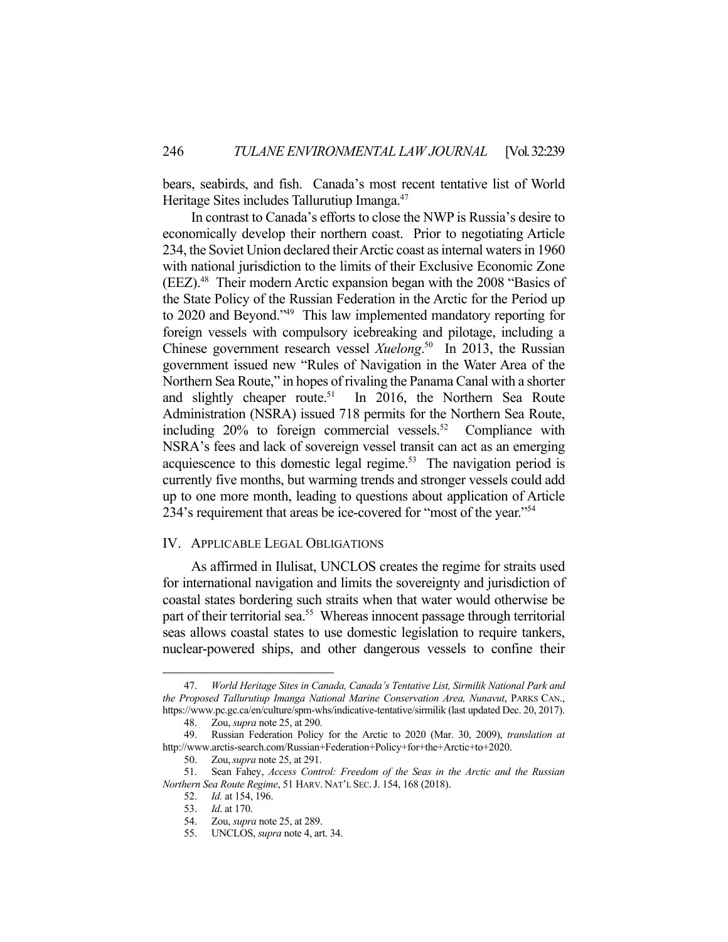bears, seabirds, and fish. Canada's most recent tentative list of World Heritage Sites includes Tallurutiup Imanga.<sup>47</sup>

 In contrast to Canada's efforts to close the NWP is Russia's desire to economically develop their northern coast. Prior to negotiating Article 234, the Soviet Union declared their Arctic coast as internal waters in 1960 with national jurisdiction to the limits of their Exclusive Economic Zone (EEZ).48 Their modern Arctic expansion began with the 2008 "Basics of the State Policy of the Russian Federation in the Arctic for the Period up to 2020 and Beyond."49 This law implemented mandatory reporting for foreign vessels with compulsory icebreaking and pilotage, including a Chinese government research vessel *Xuelong*. 50 In 2013, the Russian government issued new "Rules of Navigation in the Water Area of the Northern Sea Route," in hopes of rivaling the Panama Canal with a shorter and slightly cheaper route.<sup>51</sup> In 2016, the Northern Sea Route Administration (NSRA) issued 718 permits for the Northern Sea Route, including  $20\%$  to foreign commercial vessels.<sup>52</sup> Compliance with NSRA's fees and lack of sovereign vessel transit can act as an emerging acquiescence to this domestic legal regime.<sup>53</sup> The navigation period is currently five months, but warming trends and stronger vessels could add up to one more month, leading to questions about application of Article 234's requirement that areas be ice-covered for "most of the year."<sup>54</sup>

#### IV. APPLICABLE LEGAL OBLIGATIONS

 As affirmed in Ilulisat, UNCLOS creates the regime for straits used for international navigation and limits the sovereignty and jurisdiction of coastal states bordering such straits when that water would otherwise be part of their territorial sea.<sup>55</sup> Whereas innocent passage through territorial seas allows coastal states to use domestic legislation to require tankers, nuclear-powered ships, and other dangerous vessels to confine their

 <sup>47.</sup> *World Heritage Sites in Canada, Canada's Tentative List, Sirmilik National Park and the Proposed Tallurutiup Imanga National Marine Conservation Area, Nunavut*, PARKS CAN., https://www.pc.gc.ca/en/culture/spm-whs/indicative-tentative/sirmilik (last updated Dec. 20, 2017).

 <sup>48.</sup> Zou, *supra* note 25, at 290.

 <sup>49.</sup> Russian Federation Policy for the Arctic to 2020 (Mar. 30, 2009), *translation at* http://www.arctis-search.com/Russian+Federation+Policy+for+the+Arctic+to+2020.

 <sup>50.</sup> Zou,*supra* note 25, at 291.

Sean Fahey, *Access Control: Freedom of the Seas in the Arctic and the Russian Northern Sea Route Regime*, 51 HARV. NAT'L SEC.J. 154, 168 (2018).

 <sup>52.</sup> *Id.* at 154, 196.

 <sup>53.</sup> *Id*. at 170.

 <sup>54.</sup> Zou, *supra* note 25, at 289.

 <sup>55.</sup> UNCLOS, *supra* note 4, art. 34.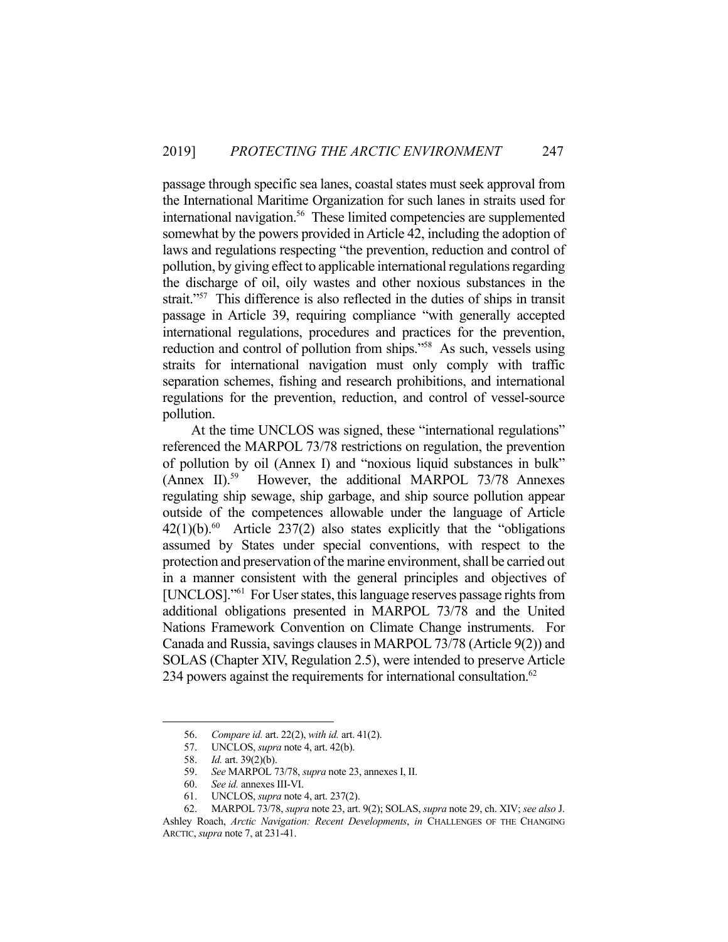passage through specific sea lanes, coastal states must seek approval from the International Maritime Organization for such lanes in straits used for international navigation.<sup>56</sup> These limited competencies are supplemented somewhat by the powers provided in Article 42, including the adoption of laws and regulations respecting "the prevention, reduction and control of pollution, by giving effect to applicable international regulations regarding the discharge of oil, oily wastes and other noxious substances in the strait."<sup>57</sup> This difference is also reflected in the duties of ships in transit passage in Article 39, requiring compliance "with generally accepted international regulations, procedures and practices for the prevention, reduction and control of pollution from ships."<sup>58</sup> As such, vessels using straits for international navigation must only comply with traffic separation schemes, fishing and research prohibitions, and international regulations for the prevention, reduction, and control of vessel-source pollution.

 At the time UNCLOS was signed, these "international regulations" referenced the MARPOL 73/78 restrictions on regulation, the prevention of pollution by oil (Annex I) and "noxious liquid substances in bulk" (Annex II).<sup>59</sup> However, the additional MARPOL 73/78 Annexes regulating ship sewage, ship garbage, and ship source pollution appear outside of the competences allowable under the language of Article  $42(1)(b).<sup>60</sup>$  Article 237(2) also states explicitly that the "obligations" assumed by States under special conventions, with respect to the protection and preservation of the marine environment, shall be carried out in a manner consistent with the general principles and objectives of [UNCLOS]."61 For User states, this language reserves passage rights from additional obligations presented in MARPOL 73/78 and the United Nations Framework Convention on Climate Change instruments. For Canada and Russia, savings clauses in MARPOL 73/78 (Article 9(2)) and SOLAS (Chapter XIV, Regulation 2.5), were intended to preserve Article 234 powers against the requirements for international consultation. $62$ 

 <sup>56.</sup> *Compare id.* art. 22(2), *with id.* art. 41(2).

UNCLOS, *supra* note 4, art. 42(b).

<sup>57.</sup> **UNCLOS**, *suprement* 58. *Id.* art. 39(2)(b).

 <sup>59.</sup> *See* MARPOL 73/78, *supra* note 23, annexes I, II.

 <sup>60.</sup> *See id.* annexes III-VI.

 <sup>61.</sup> UNCLOS, *supra* note 4, art. 237(2).

 <sup>62.</sup> MARPOL 73/78, *supra* note 23, art. 9(2); SOLAS, *supra* note 29, ch. XIV; *see also* J. Ashley Roach, *Arctic Navigation: Recent Developments*, *in* CHALLENGES OF THE CHANGING ARCTIC, *supra* note 7, at 231-41.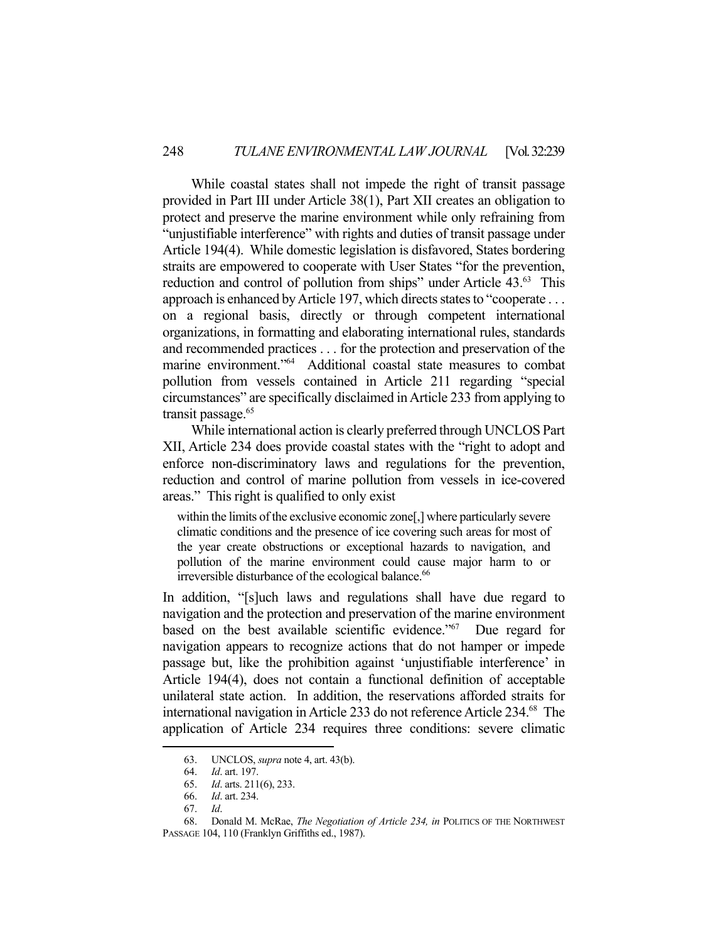While coastal states shall not impede the right of transit passage provided in Part III under Article 38(1), Part XII creates an obligation to protect and preserve the marine environment while only refraining from "unjustifiable interference" with rights and duties of transit passage under Article 194(4). While domestic legislation is disfavored, States bordering straits are empowered to cooperate with User States "for the prevention, reduction and control of pollution from ships" under Article 43.<sup>63</sup> This approach is enhanced by Article 197, which directs states to "cooperate . . . on a regional basis, directly or through competent international organizations, in formatting and elaborating international rules, standards and recommended practices . . . for the protection and preservation of the marine environment."64 Additional coastal state measures to combat pollution from vessels contained in Article 211 regarding "special circumstances" are specifically disclaimed in Article 233 from applying to transit passage.<sup>65</sup>

 While international action is clearly preferred through UNCLOS Part XII, Article 234 does provide coastal states with the "right to adopt and enforce non-discriminatory laws and regulations for the prevention, reduction and control of marine pollution from vessels in ice-covered areas." This right is qualified to only exist

within the limits of the exclusive economic zone[,] where particularly severe climatic conditions and the presence of ice covering such areas for most of the year create obstructions or exceptional hazards to navigation, and pollution of the marine environment could cause major harm to or irreversible disturbance of the ecological balance.<sup>66</sup>

In addition, "[s]uch laws and regulations shall have due regard to navigation and the protection and preservation of the marine environment based on the best available scientific evidence."67 Due regard for navigation appears to recognize actions that do not hamper or impede passage but, like the prohibition against 'unjustifiable interference' in Article 194(4), does not contain a functional definition of acceptable unilateral state action. In addition, the reservations afforded straits for international navigation in Article 233 do not reference Article 234.68 The application of Article 234 requires three conditions: severe climatic

 <sup>63.</sup> UNCLOS, *supra* note 4, art. 43(b).

 <sup>64.</sup> *Id*. art. 197.

 <sup>65.</sup> *Id*. arts. 211(6), 233.

 <sup>66.</sup> *Id*. art. 234.

 <sup>67.</sup> *Id*.

 <sup>68.</sup> Donald M. McRae, *The Negotiation of Article 234, in* POLITICS OF THE NORTHWEST PASSAGE 104, 110 (Franklyn Griffiths ed., 1987).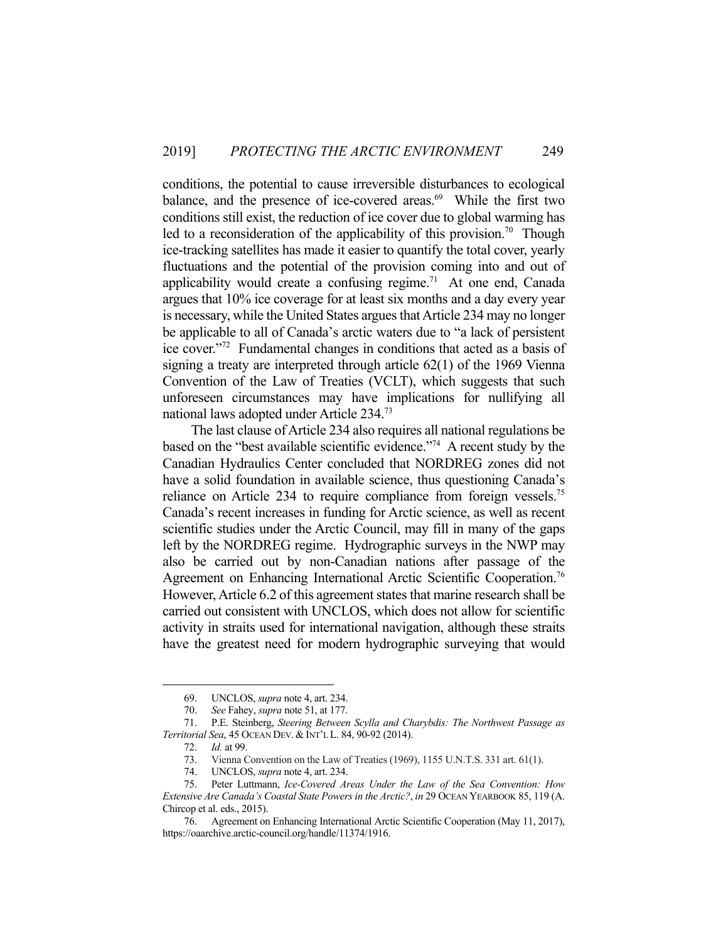conditions, the potential to cause irreversible disturbances to ecological balance, and the presence of ice-covered areas. $69$  While the first two conditions still exist, the reduction of ice cover due to global warming has led to a reconsideration of the applicability of this provision.<sup>70</sup> Though ice-tracking satellites has made it easier to quantify the total cover, yearly fluctuations and the potential of the provision coming into and out of applicability would create a confusing regime.<sup>71</sup> At one end, Canada argues that 10% ice coverage for at least six months and a day every year is necessary, while the United States argues that Article 234 may no longer be applicable to all of Canada's arctic waters due to "a lack of persistent ice cover."72 Fundamental changes in conditions that acted as a basis of signing a treaty are interpreted through article 62(1) of the 1969 Vienna Convention of the Law of Treaties (VCLT), which suggests that such unforeseen circumstances may have implications for nullifying all national laws adopted under Article 234.73

 The last clause of Article 234 also requires all national regulations be based on the "best available scientific evidence."74 A recent study by the Canadian Hydraulics Center concluded that NORDREG zones did not have a solid foundation in available science, thus questioning Canada's reliance on Article 234 to require compliance from foreign vessels.<sup>75</sup> Canada's recent increases in funding for Arctic science, as well as recent scientific studies under the Arctic Council, may fill in many of the gaps left by the NORDREG regime. Hydrographic surveys in the NWP may also be carried out by non-Canadian nations after passage of the Agreement on Enhancing International Arctic Scientific Cooperation.<sup>76</sup> However, Article 6.2 of this agreement states that marine research shall be carried out consistent with UNCLOS, which does not allow for scientific activity in straits used for international navigation, although these straits have the greatest need for modern hydrographic surveying that would

 <sup>69.</sup> UNCLOS, *supra* note 4, art. 234.

 <sup>70.</sup> *See* Fahey, *supra* note 51, at 177.

 <sup>71.</sup> P.E. Steinberg, *Steering Between Scylla and Charybdis: The Northwest Passage as Territorial Sea*, 45 OCEAN DEV. & INT'L L. 84, 90-92 (2014).

 <sup>72.</sup> *Id.* at 99.

 <sup>73.</sup> Vienna Convention on the Law of Treaties (1969), 1155 U.N.T.S. 331 art. 61(1).

 <sup>74.</sup> UNCLOS, *supra* note 4, art. 234.

 <sup>75.</sup> Peter Luttmann, *Ice-Covered Areas Under the Law of the Sea Convention: How Extensive Are Canada's Coastal State Powers in the Arctic?*, *in* 29 OCEAN YEARBOOK 85, 119 (A. Chircop et al. eds., 2015).

 <sup>76.</sup> Agreement on Enhancing International Arctic Scientific Cooperation (May 11, 2017), https://oaarchive.arctic-council.org/handle/11374/1916.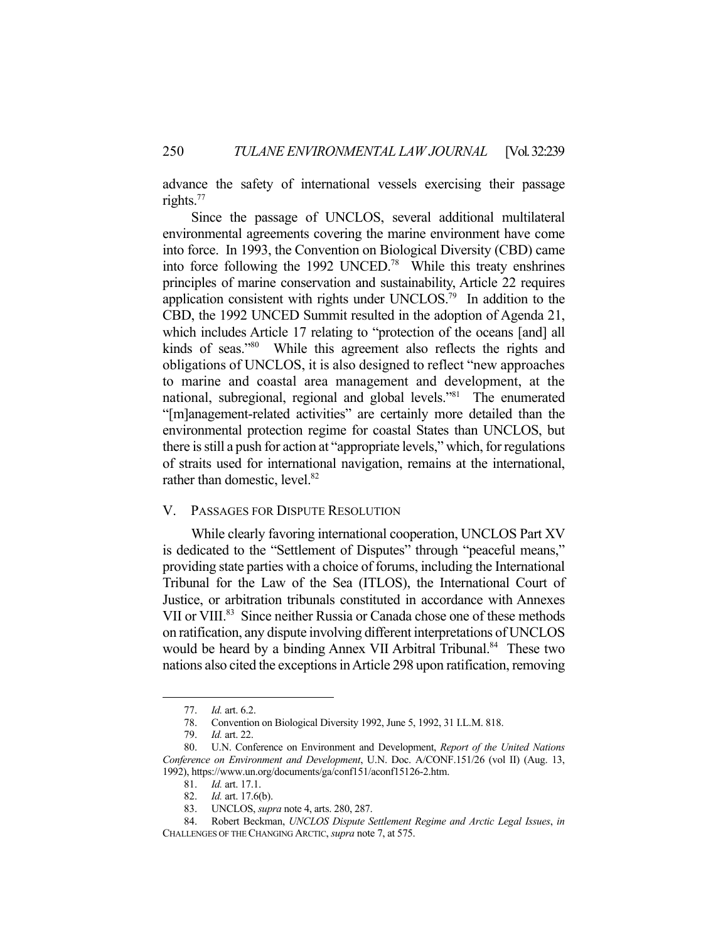advance the safety of international vessels exercising their passage rights.77

 Since the passage of UNCLOS, several additional multilateral environmental agreements covering the marine environment have come into force. In 1993, the Convention on Biological Diversity (CBD) came into force following the 1992 UNCED.78 While this treaty enshrines principles of marine conservation and sustainability, Article 22 requires application consistent with rights under UNCLOS.79 In addition to the CBD, the 1992 UNCED Summit resulted in the adoption of Agenda 21, which includes Article 17 relating to "protection of the oceans [and] all kinds of seas."80 While this agreement also reflects the rights and obligations of UNCLOS, it is also designed to reflect "new approaches to marine and coastal area management and development, at the national, subregional, regional and global levels."81 The enumerated "[m]anagement-related activities" are certainly more detailed than the environmental protection regime for coastal States than UNCLOS, but there is still a push for action at "appropriate levels," which, for regulations of straits used for international navigation, remains at the international, rather than domestic, level.<sup>82</sup>

### V. PASSAGES FOR DISPUTE RESOLUTION

 While clearly favoring international cooperation, UNCLOS Part XV is dedicated to the "Settlement of Disputes" through "peaceful means," providing state parties with a choice of forums, including the International Tribunal for the Law of the Sea (ITLOS), the International Court of Justice, or arbitration tribunals constituted in accordance with Annexes VII or VIII.<sup>83</sup> Since neither Russia or Canada chose one of these methods on ratification, any dispute involving different interpretations of UNCLOS would be heard by a binding Annex VII Arbitral Tribunal.<sup>84</sup> These two nations also cited the exceptions in Article 298 upon ratification, removing

 <sup>77.</sup> *Id.* art. 6.2.

 <sup>78.</sup> Convention on Biological Diversity 1992, June 5, 1992, 31 I.L.M. 818.

 <sup>79.</sup> *Id.* art. 22.

 <sup>80.</sup> U.N. Conference on Environment and Development, *Report of the United Nations Conference on Environment and Development*, U.N. Doc. A/CONF.151/26 (vol II) (Aug. 13, 1992), https://www.un.org/documents/ga/conf151/aconf15126-2.htm.

 <sup>81.</sup> *Id.* art. 17.1.

 <sup>82.</sup> *Id.* art. 17.6(b).

 <sup>83.</sup> UNCLOS, *supra* note 4, arts. 280, 287.

 <sup>84.</sup> Robert Beckman, *UNCLOS Dispute Settlement Regime and Arctic Legal Issues*, *in* CHALLENGES OF THE CHANGING ARCTIC, *supra* note 7, at 575.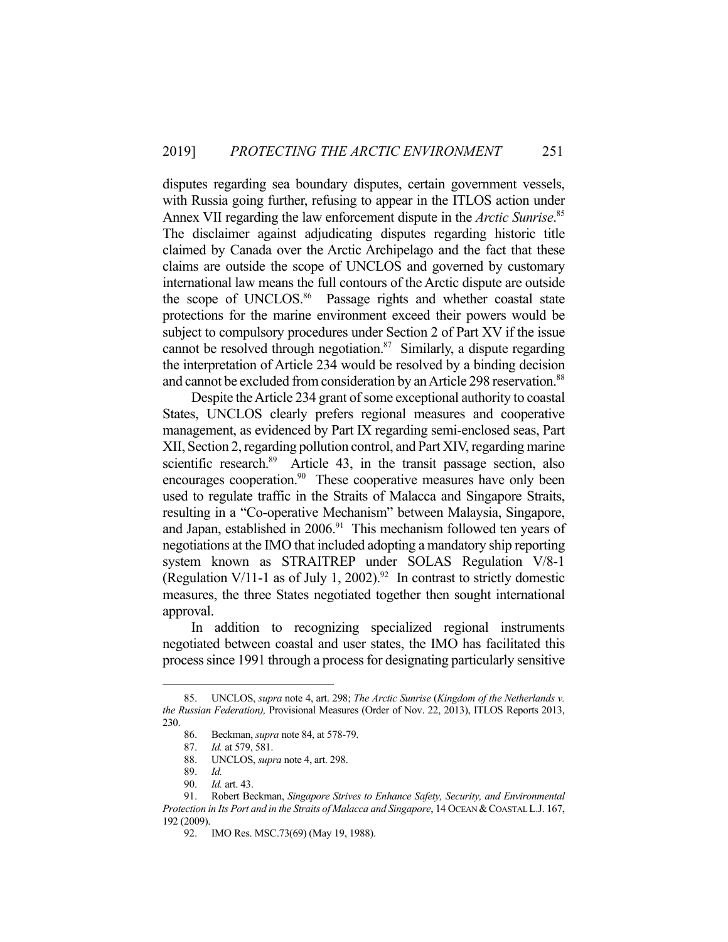disputes regarding sea boundary disputes, certain government vessels, with Russia going further, refusing to appear in the ITLOS action under Annex VII regarding the law enforcement dispute in the *Arctic Sunrise*. 85 The disclaimer against adjudicating disputes regarding historic title claimed by Canada over the Arctic Archipelago and the fact that these claims are outside the scope of UNCLOS and governed by customary international law means the full contours of the Arctic dispute are outside the scope of UNCLOS.<sup>86</sup> Passage rights and whether coastal state protections for the marine environment exceed their powers would be subject to compulsory procedures under Section 2 of Part XV if the issue cannot be resolved through negotiation. $87$  Similarly, a dispute regarding the interpretation of Article 234 would be resolved by a binding decision and cannot be excluded from consideration by an Article 298 reservation.<sup>88</sup>

 Despite the Article 234 grant of some exceptional authority to coastal States, UNCLOS clearly prefers regional measures and cooperative management, as evidenced by Part IX regarding semi-enclosed seas, Part XII, Section 2, regarding pollution control, and Part XIV, regarding marine scientific research.<sup>89</sup> Article 43, in the transit passage section, also encourages cooperation.<sup>90</sup> These cooperative measures have only been used to regulate traffic in the Straits of Malacca and Singapore Straits, resulting in a "Co-operative Mechanism" between Malaysia, Singapore, and Japan, established in  $2006<sup>91</sup>$  This mechanism followed ten years of negotiations at the IMO that included adopting a mandatory ship reporting system known as STRAITREP under SOLAS Regulation V/8-1 (Regulation V/11-1 as of July 1, 2002).<sup>92</sup> In contrast to strictly domestic measures, the three States negotiated together then sought international approval.

 In addition to recognizing specialized regional instruments negotiated between coastal and user states, the IMO has facilitated this process since 1991 through a process for designating particularly sensitive

 <sup>85.</sup> UNCLOS, *supra* note 4, art. 298; *The Arctic Sunrise* (*Kingdom of the Netherlands v. the Russian Federation),* Provisional Measures (Order of Nov. 22, 2013), ITLOS Reports 2013, 230.

<sup>86.</sup> Beckman, *supra* note 84, at 578-79.<br>87. Id. at 579, 581.<br>88. UNCLOS, *supra* note 4, art. 298.

*Id.* at 579, 581.

 <sup>88.</sup> UNCLOS, *supra* note 4, art. 298.

 <sup>89.</sup> *Id.*

 <sup>90.</sup> *Id.* art. 43.

 <sup>91.</sup> Robert Beckman, *Singapore Strives to Enhance Safety, Security, and Environmental Protection in Its Port and in the Straits of Malacca and Singapore*, 14 OCEAN &COASTAL L.J. 167, 192 (2009).

 <sup>92.</sup> IMO Res. MSC.73(69) (May 19, 1988).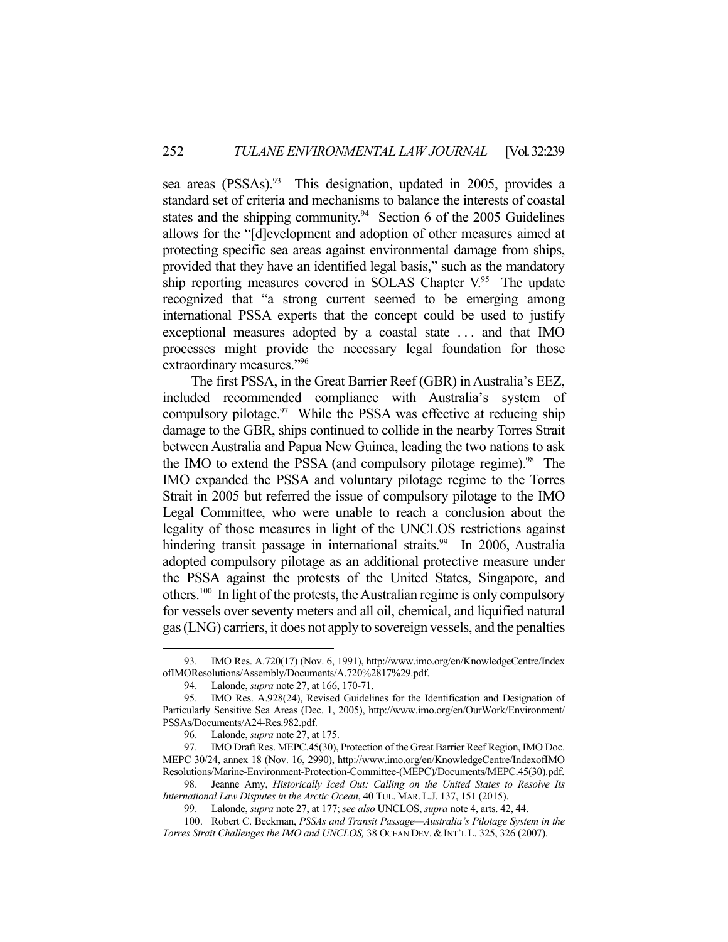sea areas (PSSAs).<sup>93</sup> This designation, updated in 2005, provides a standard set of criteria and mechanisms to balance the interests of coastal states and the shipping community.<sup>94</sup> Section 6 of the 2005 Guidelines allows for the "[d]evelopment and adoption of other measures aimed at protecting specific sea areas against environmental damage from ships, provided that they have an identified legal basis," such as the mandatory ship reporting measures covered in SOLAS Chapter  $V^{95}$ . The update recognized that "a strong current seemed to be emerging among international PSSA experts that the concept could be used to justify exceptional measures adopted by a coastal state . . . and that IMO processes might provide the necessary legal foundation for those extraordinary measures."96

 The first PSSA, in the Great Barrier Reef (GBR) in Australia's EEZ, included recommended compliance with Australia's system of compulsory pilotage. $97$  While the PSSA was effective at reducing ship damage to the GBR, ships continued to collide in the nearby Torres Strait between Australia and Papua New Guinea, leading the two nations to ask the IMO to extend the PSSA (and compulsory pilotage regime).<sup>98</sup> The IMO expanded the PSSA and voluntary pilotage regime to the Torres Strait in 2005 but referred the issue of compulsory pilotage to the IMO Legal Committee, who were unable to reach a conclusion about the legality of those measures in light of the UNCLOS restrictions against hindering transit passage in international straits.<sup>99</sup> In 2006, Australia adopted compulsory pilotage as an additional protective measure under the PSSA against the protests of the United States, Singapore, and others.<sup>100</sup> In light of the protests, the Australian regime is only compulsory for vessels over seventy meters and all oil, chemical, and liquified natural gas (LNG) carriers, it does not apply to sovereign vessels, and the penalties

 <sup>93.</sup> IMO Res. A.720(17) (Nov. 6, 1991), http://www.imo.org/en/KnowledgeCentre/Index ofIMOResolutions/Assembly/Documents/A.720%2817%29.pdf.

 <sup>94.</sup> Lalonde, *supra* note 27, at 166, 170-71.

 <sup>95.</sup> IMO Res. A.928(24), Revised Guidelines for the Identification and Designation of Particularly Sensitive Sea Areas (Dec. 1, 2005), http://www.imo.org/en/OurWork/Environment/ PSSAs/Documents/A24-Res.982.pdf.

 <sup>96.</sup> Lalonde, *supra* note 27, at 175.

 <sup>97.</sup> IMO Draft Res. MEPC.45(30), Protection of the Great Barrier Reef Region, IMO Doc. MEPC 30/24, annex 18 (Nov. 16, 2990), http://www.imo.org/en/KnowledgeCentre/IndexofIMO Resolutions/Marine-Environment-Protection-Committee-(MEPC)/Documents/MEPC.45(30).pdf.

 <sup>98.</sup> Jeanne Amy, *Historically Iced Out: Calling on the United States to Resolve Its International Law Disputes in the Arctic Ocean*, 40 TUL. MAR. L.J. 137, 151 (2015).

 <sup>99.</sup> Lalonde, *supra* note 27, at 177; *see also* UNCLOS, *supra* note 4, arts. 42, 44.

 <sup>100.</sup> Robert C. Beckman, *PSSAs and Transit Passage—Australia's Pilotage System in the Torres Strait Challenges the IMO and UNCLOS,* 38 OCEAN DEV. & INT'L L. 325, 326 (2007).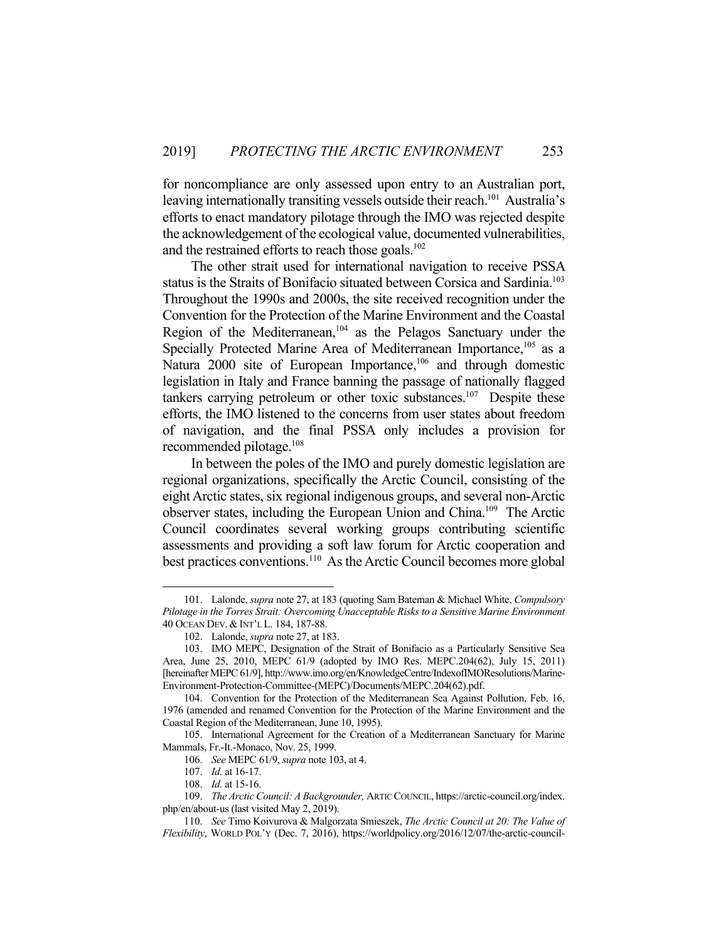for noncompliance are only assessed upon entry to an Australian port, leaving internationally transiting vessels outside their reach.<sup>101</sup> Australia's efforts to enact mandatory pilotage through the IMO was rejected despite the acknowledgement of the ecological value, documented vulnerabilities, and the restrained efforts to reach those goals. $102$ 

 The other strait used for international navigation to receive PSSA status is the Straits of Bonifacio situated between Corsica and Sardinia.<sup>103</sup> Throughout the 1990s and 2000s, the site received recognition under the Convention for the Protection of the Marine Environment and the Coastal Region of the Mediterranean,<sup>104</sup> as the Pelagos Sanctuary under the Specially Protected Marine Area of Mediterranean Importance,<sup>105</sup> as a Natura 2000 site of European Importance,<sup>106</sup> and through domestic legislation in Italy and France banning the passage of nationally flagged tankers carrying petroleum or other toxic substances.<sup>107</sup> Despite these efforts, the IMO listened to the concerns from user states about freedom of navigation, and the final PSSA only includes a provision for recommended pilotage.108

 In between the poles of the IMO and purely domestic legislation are regional organizations, specifically the Arctic Council, consisting of the eight Arctic states, six regional indigenous groups, and several non-Arctic observer states, including the European Union and China.109 The Arctic Council coordinates several working groups contributing scientific assessments and providing a soft law forum for Arctic cooperation and best practices conventions.110 As the Arctic Council becomes more global

 <sup>101.</sup> Lalonde, *supra* note 27, at 183 (quoting Sam Bateman & Michael White, *Compulsory Pilotage in the Torres Strait: Overcoming Unacceptable Risks to a Sensitive Marine Environment*  40 OCEAN DEV. &INT'L L. 184, 187-88.

 <sup>102.</sup> Lalonde, *supra* note 27, at 183.

 <sup>103.</sup> IMO MEPC, Designation of the Strait of Bonifacio as a Particularly Sensitive Sea Area, June 25, 2010, MEPC 61/9 (adopted by IMO Res. MEPC.204(62), July 15, 2011) [hereinafter MEPC 61/9], http://www.imo.org/en/KnowledgeCentre/IndexofIMOResolutions/Marine-Environment-Protection-Committee-(MEPC)/Documents/MEPC.204(62).pdf.

 <sup>104.</sup> Convention for the Protection of the Mediterranean Sea Against Pollution, Feb. 16, 1976 (amended and renamed Convention for the Protection of the Marine Environment and the Coastal Region of the Mediterranean, June 10, 1995).

 <sup>105.</sup> International Agreement for the Creation of a Mediterranean Sanctuary for Marine Mammals, Fr.-It.-Monaco, Nov. 25, 1999.

 <sup>106.</sup> *See* MEPC 61/9, *supra* note 103, at 4.

 <sup>107.</sup> *Id.* at 16-17.

 <sup>108.</sup> *Id.* at 15-16.

 <sup>109.</sup> *The Arctic Council: A Backgrounder,* ARTIC COUNCIL, https://arctic-council.org/index. php/en/about-us (last visited May 2, 2019).

 <sup>110.</sup> *See* Timo Koivurova & Malgorzata Smieszek, *The Arctic Council at 20: The Value of Flexibility*, WORLD POL'Y (Dec. 7, 2016), https://worldpolicy.org/2016/12/07/the-arctic-council-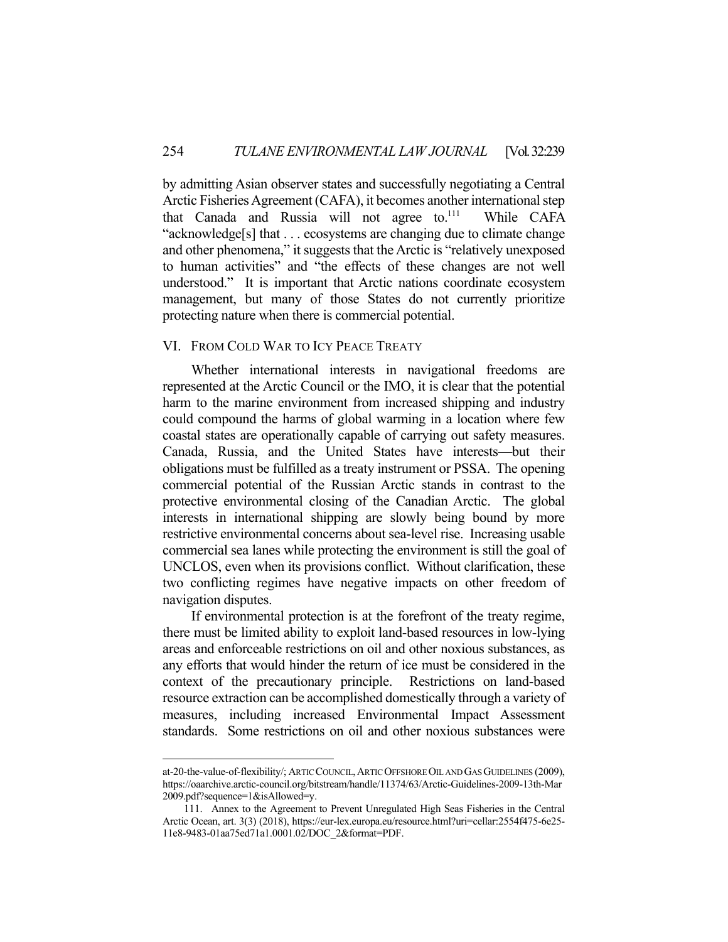by admitting Asian observer states and successfully negotiating a Central Arctic Fisheries Agreement (CAFA), it becomes another international step that Canada and Russia will not agree to.<sup>111</sup> While CAFA "acknowledge[s] that . . . ecosystems are changing due to climate change and other phenomena," it suggests that the Arctic is "relatively unexposed to human activities" and "the effects of these changes are not well understood." It is important that Arctic nations coordinate ecosystem management, but many of those States do not currently prioritize protecting nature when there is commercial potential.

## VI. FROM COLD WAR TO ICY PEACE TREATY

 Whether international interests in navigational freedoms are represented at the Arctic Council or the IMO, it is clear that the potential harm to the marine environment from increased shipping and industry could compound the harms of global warming in a location where few coastal states are operationally capable of carrying out safety measures. Canada, Russia, and the United States have interests—but their obligations must be fulfilled as a treaty instrument or PSSA. The opening commercial potential of the Russian Arctic stands in contrast to the protective environmental closing of the Canadian Arctic. The global interests in international shipping are slowly being bound by more restrictive environmental concerns about sea-level rise. Increasing usable commercial sea lanes while protecting the environment is still the goal of UNCLOS, even when its provisions conflict. Without clarification, these two conflicting regimes have negative impacts on other freedom of navigation disputes.

 If environmental protection is at the forefront of the treaty regime, there must be limited ability to exploit land-based resources in low-lying areas and enforceable restrictions on oil and other noxious substances, as any efforts that would hinder the return of ice must be considered in the context of the precautionary principle. Restrictions on land-based resource extraction can be accomplished domestically through a variety of measures, including increased Environmental Impact Assessment standards. Some restrictions on oil and other noxious substances were

at-20-the-value-of-flexibility/; ARTIC COUNCIL,ARTIC OFFSHORE OIL AND GAS GUIDELINES (2009), https://oaarchive.arctic-council.org/bitstream/handle/11374/63/Arctic-Guidelines-2009-13th-Mar 2009.pdf?sequence=1&isAllowed=y.

 <sup>111.</sup> Annex to the Agreement to Prevent Unregulated High Seas Fisheries in the Central Arctic Ocean, art. 3(3) (2018), https://eur-lex.europa.eu/resource.html?uri=cellar:2554f475-6e25- 11e8-9483-01aa75ed71a1.0001.02/DOC\_2&format=PDF.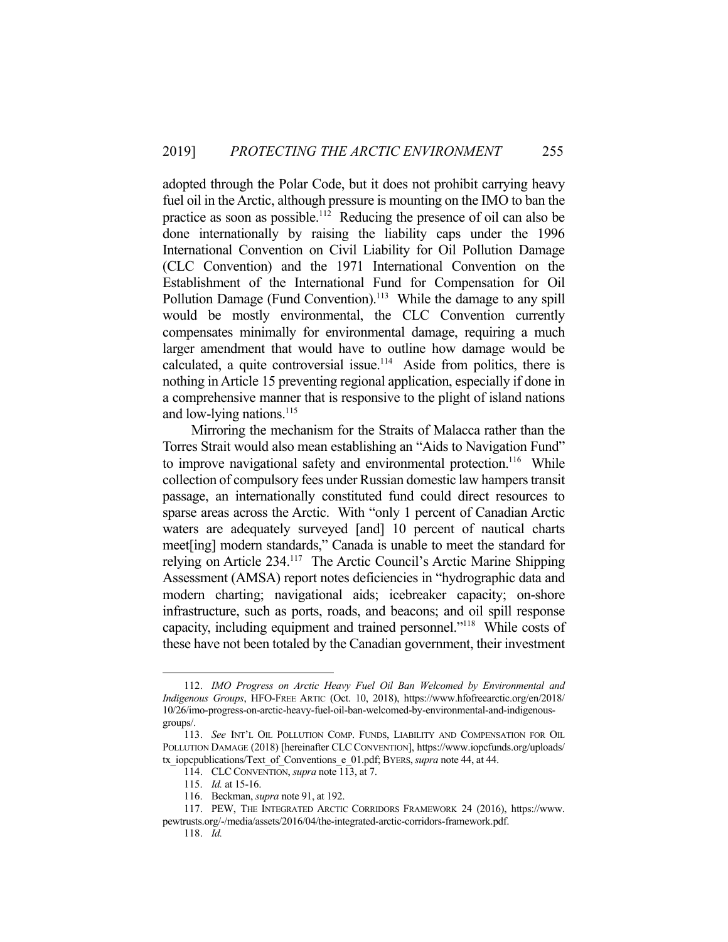adopted through the Polar Code, but it does not prohibit carrying heavy fuel oil in the Arctic, although pressure is mounting on the IMO to ban the practice as soon as possible.112 Reducing the presence of oil can also be done internationally by raising the liability caps under the 1996 International Convention on Civil Liability for Oil Pollution Damage (CLC Convention) and the 1971 International Convention on the Establishment of the International Fund for Compensation for Oil Pollution Damage (Fund Convention).<sup>113</sup> While the damage to any spill would be mostly environmental, the CLC Convention currently compensates minimally for environmental damage, requiring a much larger amendment that would have to outline how damage would be calculated, a quite controversial issue.<sup>114</sup> Aside from politics, there is nothing in Article 15 preventing regional application, especially if done in a comprehensive manner that is responsive to the plight of island nations and low-lying nations. $^{115}$ 

 Mirroring the mechanism for the Straits of Malacca rather than the Torres Strait would also mean establishing an "Aids to Navigation Fund" to improve navigational safety and environmental protection.<sup>116</sup> While collection of compulsory fees under Russian domestic law hampers transit passage, an internationally constituted fund could direct resources to sparse areas across the Arctic. With "only 1 percent of Canadian Arctic waters are adequately surveyed [and] 10 percent of nautical charts meet[ing] modern standards," Canada is unable to meet the standard for relying on Article 234.117 The Arctic Council's Arctic Marine Shipping Assessment (AMSA) report notes deficiencies in "hydrographic data and modern charting; navigational aids; icebreaker capacity; on-shore infrastructure, such as ports, roads, and beacons; and oil spill response capacity, including equipment and trained personnel."118 While costs of these have not been totaled by the Canadian government, their investment

 <sup>112.</sup> *IMO Progress on Arctic Heavy Fuel Oil Ban Welcomed by Environmental and Indigenous Groups*, HFO-FREE ARTIC (Oct. 10, 2018), https://www.hfofreearctic.org/en/2018/ 10/26/imo-progress-on-arctic-heavy-fuel-oil-ban-welcomed-by-environmental-and-indigenousgroups/.

 <sup>113.</sup> *See* INT'L OIL POLLUTION COMP. FUNDS, LIABILITY AND COMPENSATION FOR OIL POLLUTION DAMAGE (2018) [hereinafter CLC CONVENTION], https://www.iopcfunds.org/uploads/ tx\_iopcpublications/Text\_of\_Conventions\_e\_01.pdf; BYERS,*supra* note 44, at 44.

 <sup>114.</sup> CLCCONVENTION, *supra* note 113, at 7.

 <sup>115.</sup> *Id.* at 15-16.

 <sup>116.</sup> Beckman, *supra* note 91, at 192.

 <sup>117.</sup> PEW, THE INTEGRATED ARCTIC CORRIDORS FRAMEWORK 24 (2016), https://www. pewtrusts.org/-/media/assets/2016/04/the-integrated-arctic-corridors-framework.pdf.

 <sup>118.</sup> *Id.*